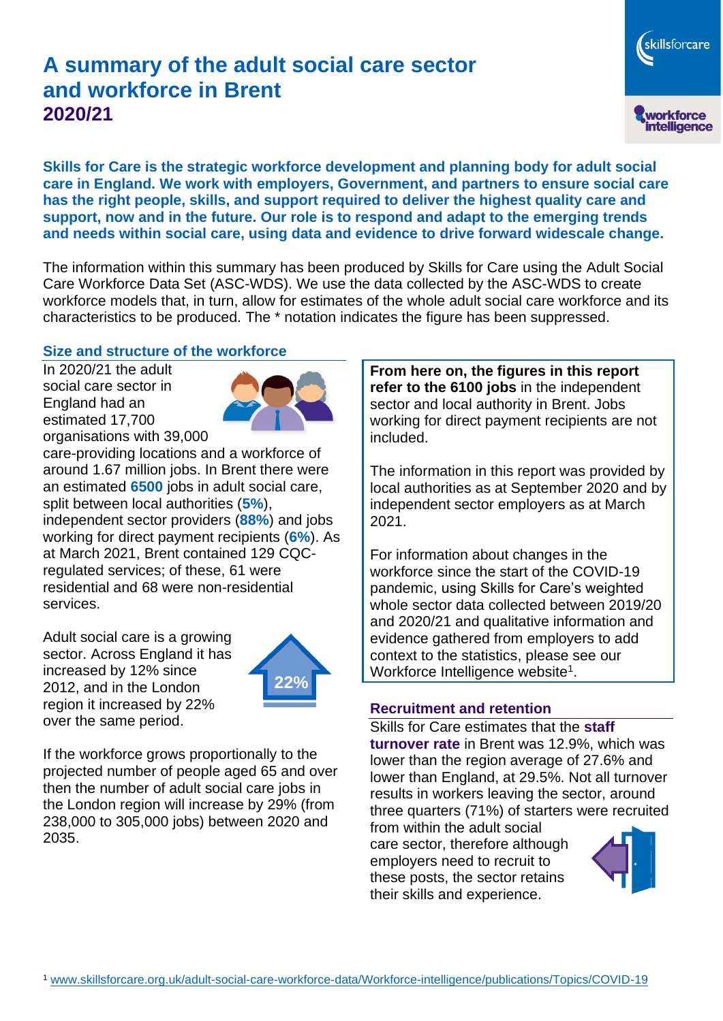# **A summary of the adult social care sector and workforce in Brent 2020/21**

skillsforcare workforce<br>intelligence

**Skills for Care is the strategic workforce development and planning body for adult social care in England. We work with employers, Government, and partners to ensure social care has the right people, skills, and support required to deliver the highest quality care and support, now and in the future. Our role is to respond and adapt to the emerging trends and needs within social care, using data and evidence to drive forward widescale change.**

The information within this summary has been produced by Skills for Care using the Adult Social Care Workforce Data Set (ASC-WDS). We use the data collected by the ASC-WDS to create workforce models that, in turn, allow for estimates of the whole adult social care workforce and its characteristics to be produced. The \* notation indicates the figure has been suppressed.

#### **Size and structure of the workforce**

In 2020/21 the adult social care sector in England had an estimated 17,700 organisations with 39,000



care-providing locations and a workforce of around 1.67 million jobs. In Brent there were an estimated **6500** jobs in adult social care, split between local authorities (**5%**), independent sector providers (**88%**) and jobs working for direct payment recipients (**6%**). As at March 2021, Brent contained 129 CQCregulated services; of these, 61 were residential and 68 were non-residential services.

Adult social care is a growing sector. Across England it has increased by 12% since 2012, and in the London region it increased by 22% over the same period.



If the workforce grows proportionally to the projected number of people aged 65 and over then the number of adult social care jobs in the London region will increase by 29% (from 238,000 to 305,000 jobs) between 2020 and 2035.

**From here on, the figures in this report refer to the 6100 jobs** in the independent sector and local authority in Brent. Jobs working for direct payment recipients are not included.

The information in this report was provided by local authorities as at September 2020 and by independent sector employers as at March 2021.

For information about changes in the workforce since the start of the COVID-19 pandemic, using Skills for Care's weighted whole sector data collected between 2019/20 and 2020/21 and qualitative information and evidence gathered from employers to add context to the statistics, please see our Workforce Intelligence website<sup>1</sup>.

#### **Recruitment and retention**

Skills for Care estimates that the **staff turnover rate** in Brent was 12.9%, which was lower than the region average of 27.6% and lower than England, at 29.5%. Not all turnover results in workers leaving the sector, around three quarters (71%) of starters were recruited

from within the adult social care sector, therefore although employers need to recruit to these posts, the sector retains their skills and experience.

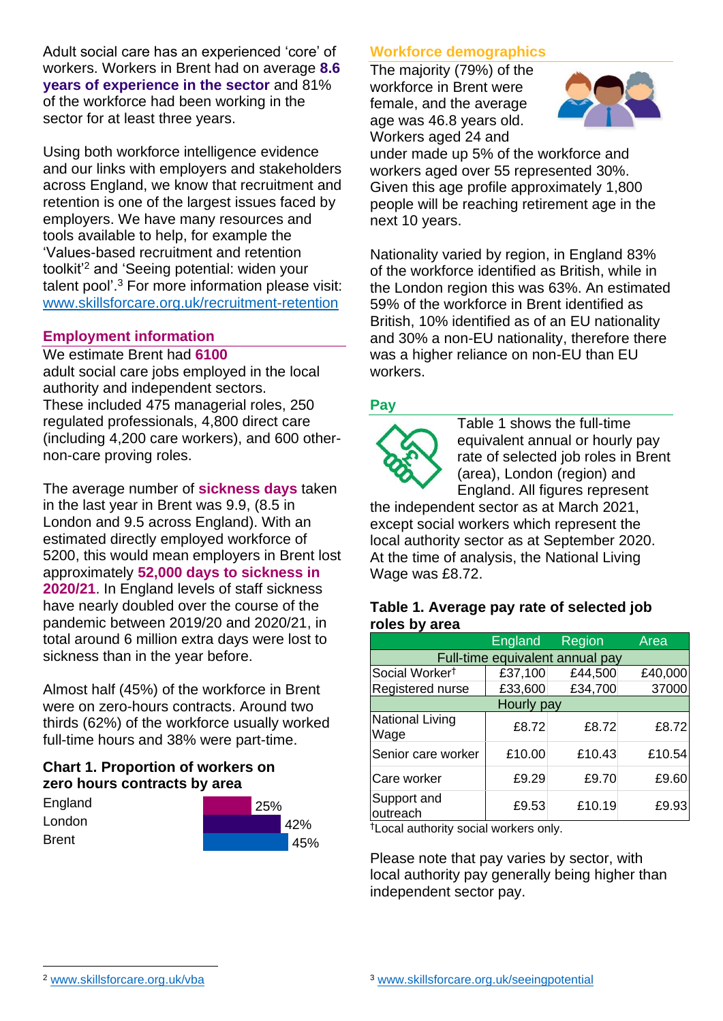Adult social care has an experienced 'core' of workers. Workers in Brent had on average **8.6 years of experience in the sector** and 81% of the workforce had been working in the sector for at least three years.

Using both workforce intelligence evidence and our links with employers and stakeholders across England, we know that recruitment and retention is one of the largest issues faced by employers. We have many resources and tools available to help, for example the 'Values-based recruitment and retention toolkit'<sup>2</sup> and 'Seeing potential: widen your talent pool'. <sup>3</sup> For more information please visit: [www.skillsforcare.org.uk/recruitment-retention](http://www.skillsforcare.org.uk/recruitment-retention)

## **Employment information**

#### We estimate Brent had **6100**

adult social care jobs employed in the local authority and independent sectors. These included 475 managerial roles, 250 regulated professionals, 4,800 direct care (including 4,200 care workers), and 600 othernon-care proving roles.

The average number of **sickness days** taken in the last year in Brent was 9.9, (8.5 in London and 9.5 across England). With an estimated directly employed workforce of 5200, this would mean employers in Brent lost approximately **52,000 days to sickness in 2020/21**. In England levels of staff sickness have nearly doubled over the course of the pandemic between 2019/20 and 2020/21, in total around 6 million extra days were lost to sickness than in the year before.

Almost half (45%) of the workforce in Brent were on zero-hours contracts. Around two thirds (62%) of the workforce usually worked full-time hours and 38% were part-time.

# **Chart 1. Proportion of workers on zero hours contracts by area**

| England      | 25% |     |
|--------------|-----|-----|
| London       |     | 42% |
| <b>Brent</b> |     | 45% |

# **Workforce demographics**

The majority (79%) of the workforce in Brent were female, and the average age was 46.8 years old. Workers aged 24 and



under made up 5% of the workforce and workers aged over 55 represented 30%. Given this age profile approximately 1,800 people will be reaching retirement age in the next 10 years.

Nationality varied by region, in England 83% of the workforce identified as British, while in the London region this was 63%. An estimated 59% of the workforce in Brent identified as British, 10% identified as of an EU nationality and 30% a non-EU nationality, therefore there was a higher reliance on non-EU than EU workers.

# **Pay**



Table 1 shows the full-time equivalent annual or hourly pay rate of selected job roles in Brent (area), London (region) and England. All figures represent

the independent sector as at March 2021, except social workers which represent the local authority sector as at September 2020. At the time of analysis, the National Living Wage was £8.72.

#### **Table 1. Average pay rate of selected job roles by area**

|                                 | <b>England</b> | Region  | Area    |  |
|---------------------------------|----------------|---------|---------|--|
| Full-time equivalent annual pay |                |         |         |  |
| Social Worker <sup>†</sup>      | £37,100        | £44,500 | £40,000 |  |
| Registered nurse                | £33,600        | £34,700 | 37000   |  |
| Hourly pay                      |                |         |         |  |
| National Living<br>Wage         | £8.72          | £8.72   | £8.72   |  |
| Senior care worker              | £10.00         | £10.43  | £10.54  |  |
| Care worker                     | £9.29          | £9.70   | £9.60   |  |
| Support and<br>outreach         | £9.53          | £10.19  | £9.93   |  |

†Local authority social workers only.

Please note that pay varies by sector, with local authority pay generally being higher than independent sector pay.